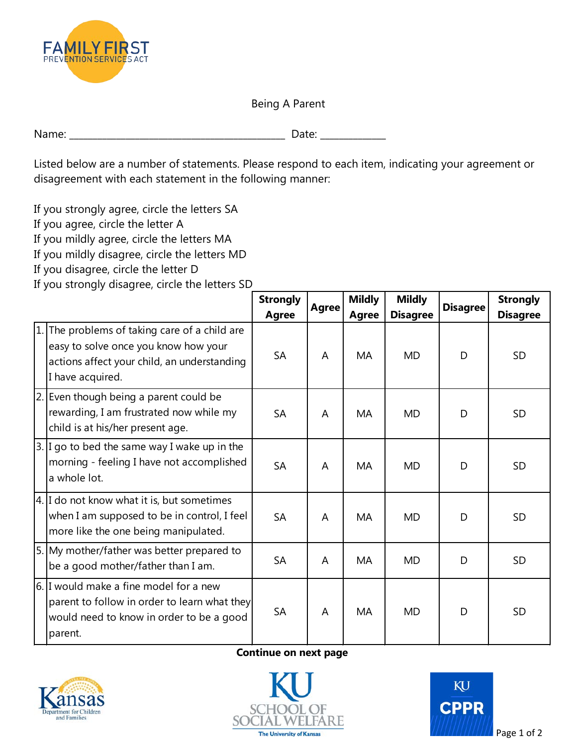

Being A Parent

| $N -$ | . .    |
|-------|--------|
| .     |        |
|       | $\sim$ |

 Listed below are a number of statements. Please respond to each item, indicating your agreement or disagreement with each statement in the following manner:

If you strongly agree, circle the letters SA

If you agree, circle the letter A

If you mildly agree, circle the letters MA

If you mildly disagree, circle the letters MD

If you disagree, circle the letter D

If you strongly disagree, circle the letters SD

|     |                                                                                                                                                       | <b>Strongly</b><br><b>Agree</b> | <b>Agree</b> | <b>Mildly</b><br><b>Agree</b> | <b>Mildly</b><br><b>Disagree</b> | <b>Disagree</b> | <b>Strongly</b><br><b>Disagree</b> |
|-----|-------------------------------------------------------------------------------------------------------------------------------------------------------|---------------------------------|--------------|-------------------------------|----------------------------------|-----------------|------------------------------------|
| 1.1 | The problems of taking care of a child are<br>easy to solve once you know how your<br>actions affect your child, an understanding<br>I have acquired. | <b>SA</b>                       | A            | MA                            | <b>MD</b>                        | D               | <b>SD</b>                          |
|     | 2. Even though being a parent could be<br>rewarding, I am frustrated now while my<br>child is at his/her present age.                                 | <b>SA</b>                       | A            | <b>MA</b>                     | <b>MD</b>                        | D               | <b>SD</b>                          |
|     | 3. I go to bed the same way I wake up in the<br>morning - feeling I have not accomplished<br>a whole lot.                                             | <b>SA</b>                       | A            | <b>MA</b>                     | <b>MD</b>                        | D               | SD                                 |
|     | 4. I do not know what it is, but sometimes<br>when I am supposed to be in control, I feel<br>more like the one being manipulated.                     | <b>SA</b>                       | A            | MA                            | <b>MD</b>                        | D               | <b>SD</b>                          |
|     | 5. My mother/father was better prepared to<br>be a good mother/father than I am.                                                                      | <b>SA</b>                       | A            | MA                            | <b>MD</b>                        | D               | <b>SD</b>                          |
|     | 6. I would make a fine model for a new<br>parent to follow in order to learn what they<br>would need to know in order to be a good<br>parent.         | <b>SA</b>                       | A            | MA                            | <b>MD</b>                        | D               | <b>SD</b>                          |